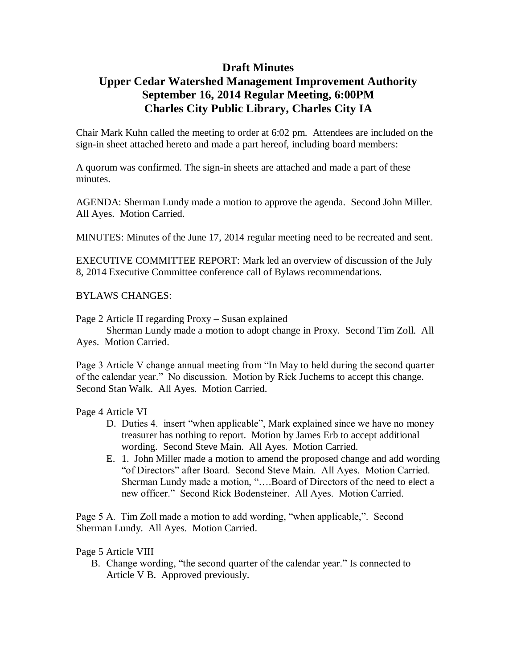## **Draft Minutes**

## **Upper Cedar Watershed Management Improvement Authority September 16, 2014 Regular Meeting, 6:00PM Charles City Public Library, Charles City IA**

Chair Mark Kuhn called the meeting to order at 6:02 pm. Attendees are included on the sign-in sheet attached hereto and made a part hereof, including board members:

A quorum was confirmed. The sign-in sheets are attached and made a part of these minutes.

AGENDA: Sherman Lundy made a motion to approve the agenda. Second John Miller. All Ayes. Motion Carried.

MINUTES: Minutes of the June 17, 2014 regular meeting need to be recreated and sent.

EXECUTIVE COMMITTEE REPORT: Mark led an overview of discussion of the July 8, 2014 Executive Committee conference call of Bylaws recommendations.

BYLAWS CHANGES:

Page 2 Article II regarding Proxy – Susan explained

Sherman Lundy made a motion to adopt change in Proxy. Second Tim Zoll. All Ayes. Motion Carried.

Page 3 Article V change annual meeting from "In May to held during the second quarter of the calendar year." No discussion. Motion by Rick Juchems to accept this change. Second Stan Walk. All Ayes. Motion Carried.

Page 4 Article VI

- D. Duties 4. insert "when applicable", Mark explained since we have no money treasurer has nothing to report. Motion by James Erb to accept additional wording. Second Steve Main. All Ayes. Motion Carried.
- E. 1. John Miller made a motion to amend the proposed change and add wording "of Directors" after Board. Second Steve Main. All Ayes. Motion Carried. Sherman Lundy made a motion, "….Board of Directors of the need to elect a new officer." Second Rick Bodensteiner. All Ayes. Motion Carried.

Page 5 A. Tim Zoll made a motion to add wording, "when applicable,". Second Sherman Lundy. All Ayes. Motion Carried.

Page 5 Article VIII

B. Change wording, "the second quarter of the calendar year." Is connected to Article V B. Approved previously.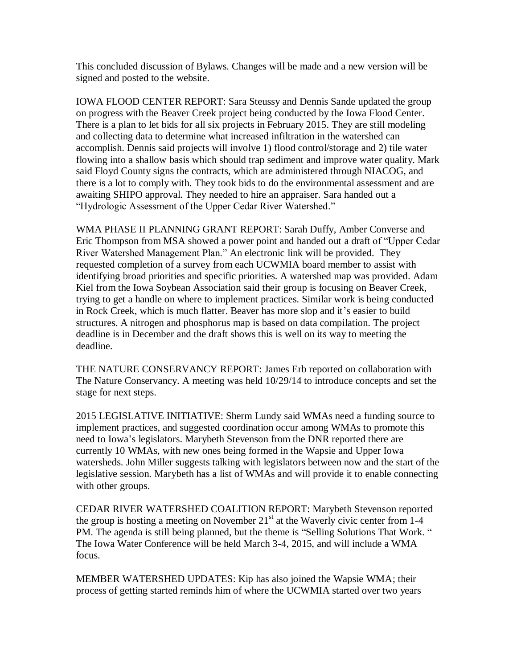This concluded discussion of Bylaws. Changes will be made and a new version will be signed and posted to the website.

IOWA FLOOD CENTER REPORT: Sara Steussy and Dennis Sande updated the group on progress with the Beaver Creek project being conducted by the Iowa Flood Center. There is a plan to let bids for all six projects in February 2015. They are still modeling and collecting data to determine what increased infiltration in the watershed can accomplish. Dennis said projects will involve 1) flood control/storage and 2) tile water flowing into a shallow basis which should trap sediment and improve water quality. Mark said Floyd County signs the contracts, which are administered through NIACOG, and there is a lot to comply with. They took bids to do the environmental assessment and are awaiting SHIPO approval. They needed to hire an appraiser. Sara handed out a "Hydrologic Assessment of the Upper Cedar River Watershed."

WMA PHASE II PLANNING GRANT REPORT: Sarah Duffy, Amber Converse and Eric Thompson from MSA showed a power point and handed out a draft of "Upper Cedar River Watershed Management Plan." An electronic link will be provided. They requested completion of a survey from each UCWMIA board member to assist with identifying broad priorities and specific priorities. A watershed map was provided. Adam Kiel from the Iowa Soybean Association said their group is focusing on Beaver Creek, trying to get a handle on where to implement practices. Similar work is being conducted in Rock Creek, which is much flatter. Beaver has more slop and it's easier to build structures. A nitrogen and phosphorus map is based on data compilation. The project deadline is in December and the draft shows this is well on its way to meeting the deadline.

THE NATURE CONSERVANCY REPORT: James Erb reported on collaboration with The Nature Conservancy. A meeting was held 10/29/14 to introduce concepts and set the stage for next steps.

2015 LEGISLATIVE INITIATIVE: Sherm Lundy said WMAs need a funding source to implement practices, and suggested coordination occur among WMAs to promote this need to Iowa's legislators. Marybeth Stevenson from the DNR reported there are currently 10 WMAs, with new ones being formed in the Wapsie and Upper Iowa watersheds. John Miller suggests talking with legislators between now and the start of the legislative session. Marybeth has a list of WMAs and will provide it to enable connecting with other groups.

CEDAR RIVER WATERSHED COALITION REPORT: Marybeth Stevenson reported the group is hosting a meeting on November  $21<sup>st</sup>$  at the Waverly civic center from 1-4 PM. The agenda is still being planned, but the theme is "Selling Solutions That Work. " The Iowa Water Conference will be held March 3-4, 2015, and will include a WMA focus.

MEMBER WATERSHED UPDATES: Kip has also joined the Wapsie WMA; their process of getting started reminds him of where the UCWMIA started over two years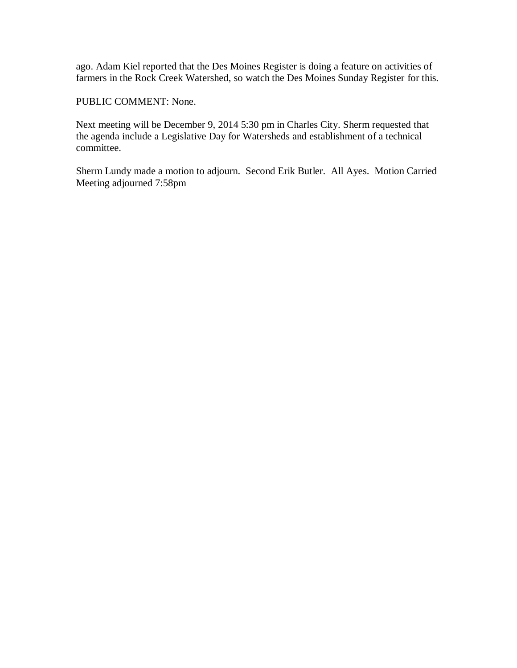ago. Adam Kiel reported that the Des Moines Register is doing a feature on activities of farmers in the Rock Creek Watershed, so watch the Des Moines Sunday Register for this.

PUBLIC COMMENT: None.

Next meeting will be December 9, 2014 5:30 pm in Charles City. Sherm requested that the agenda include a Legislative Day for Watersheds and establishment of a technical committee.

Sherm Lundy made a motion to adjourn. Second Erik Butler. All Ayes. Motion Carried Meeting adjourned 7:58pm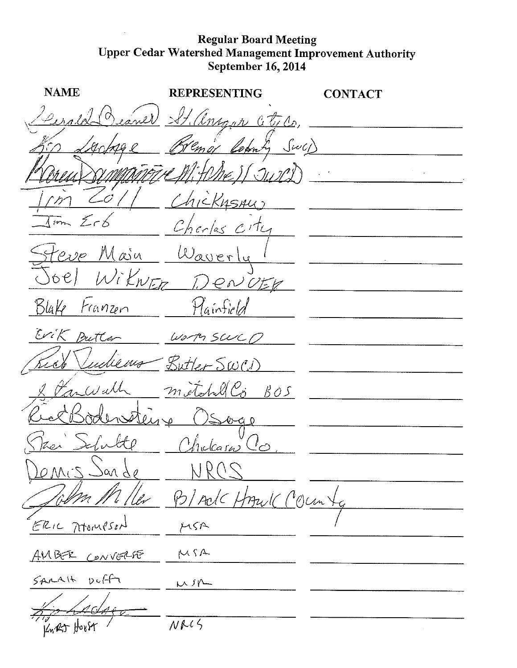## Regular Board Meeting<br>Upper Cedar Watershed Management Improvement Authority<br>September 16, 2014

| <b>NAME</b>         | REPRESENTING            | <b>ONTACT</b> |
|---------------------|-------------------------|---------------|
| Cerold              | Beaner St. anger Ctico. |               |
|                     | Bremor Colomby Swa)     |               |
|                     | TATIL W. H.ME I (JUIPI) |               |
| -0                  | Chicknami               |               |
| Imm Erb             | Charles city            |               |
| Heve Main           | Waverly                 |               |
| Joel WiknER D       | IENUER                  |               |
| Blake Franzen       | Hainfield               |               |
| Wik Butter          | $W_2$ of $SULC$         |               |
|                     | Judienes - Butter SWCD  |               |
| gr Wall             | methology BOS           |               |
|                     | Q                       |               |
|                     | Chilcasu                |               |
| $QMCSS -$<br>san de |                         |               |
|                     | B/AdCHAzulC (Colum)     |               |
| ERIC AtomPSON       | MSA                     |               |
| AMBER CONVERSE      | MSA                     |               |
| $SALAY + DLff$      | Wir                     |               |
|                     |                         |               |
| Knat Horst          | NRC5                    |               |